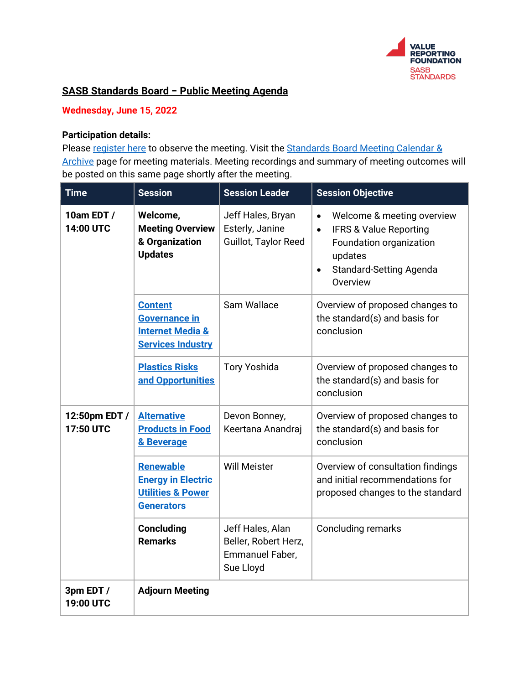

# **SASB Standards Board − Public Meeting Agenda**

## **Wednesday, June 15, 2022**

### **Participation details:**

Pleas[e register here](https://info.valuereportingfoundation.org/standards_board_meeting_june_15_2022) to observe the meeting. Visit the Standards Board Meeting Calendar & [Archive](https://www.sasb.org/standard-setting-process/calendar/) page for meeting materials. Meeting recordings and summary of meeting outcomes will be posted on this same page shortly after the meeting.

| <b>Time</b>                    | <b>Session</b>                                                                                     | <b>Session Leader</b>                                                    | <b>Session Objective</b>                                                                                                                                                                   |
|--------------------------------|----------------------------------------------------------------------------------------------------|--------------------------------------------------------------------------|--------------------------------------------------------------------------------------------------------------------------------------------------------------------------------------------|
| 10am EDT /<br><b>14:00 UTC</b> | Welcome,<br><b>Meeting Overview</b><br>& Organization<br><b>Updates</b>                            | Jeff Hales, Bryan<br>Esterly, Janine<br>Guillot, Taylor Reed             | Welcome & meeting overview<br>$\bullet$<br><b>IFRS &amp; Value Reporting</b><br>$\bullet$<br>Foundation organization<br>updates<br><b>Standard-Setting Agenda</b><br>$\bullet$<br>Overview |
|                                | <b>Content</b><br><b>Governance in</b><br><b>Internet Media &amp;</b><br><b>Services Industry</b>  | Sam Wallace                                                              | Overview of proposed changes to<br>the standard(s) and basis for<br>conclusion                                                                                                             |
|                                | <b>Plastics Risks</b><br>and Opportunities                                                         | <b>Tory Yoshida</b>                                                      | Overview of proposed changes to<br>the standard(s) and basis for<br>conclusion                                                                                                             |
| 12:50pm EDT /<br>17:50 UTC     | <b>Alternative</b><br><b>Products in Food</b><br>& Beverage                                        | Devon Bonney,<br>Keertana Anandraj                                       | Overview of proposed changes to<br>the standard(s) and basis for<br>conclusion                                                                                                             |
|                                | <b>Renewable</b><br><b>Energy in Electric</b><br><b>Utilities &amp; Power</b><br><b>Generators</b> | <b>Will Meister</b>                                                      | Overview of consultation findings<br>and initial recommendations for<br>proposed changes to the standard                                                                                   |
|                                | <b>Concluding</b><br><b>Remarks</b>                                                                | Jeff Hales, Alan<br>Beller, Robert Herz,<br>Emmanuel Faber,<br>Sue Lloyd | <b>Concluding remarks</b>                                                                                                                                                                  |
| 3pm EDT /<br>19:00 UTC         | <b>Adjourn Meeting</b>                                                                             |                                                                          |                                                                                                                                                                                            |